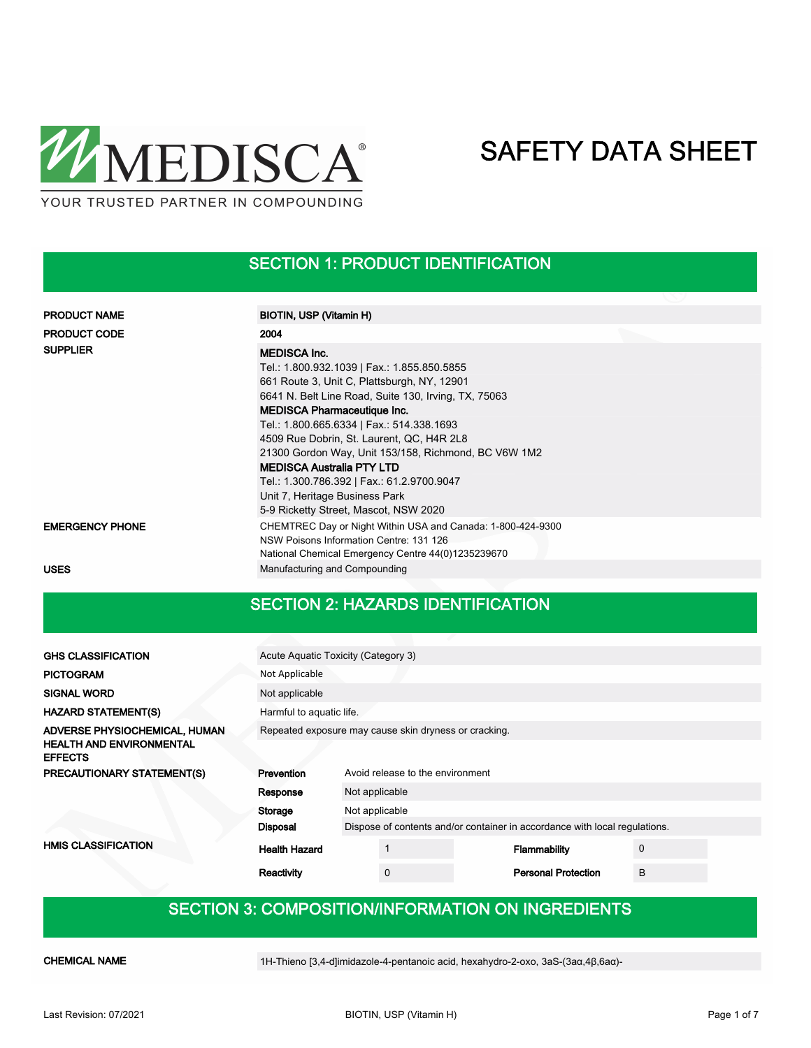

### SECTION 1: PRODUCT IDENTIFICATION

| <b>PRODUCT NAME</b>    | BIOTIN, USP (Vitamin H)                                                                                                                                                                                                                                                                                                                                                                                                                                                               |
|------------------------|---------------------------------------------------------------------------------------------------------------------------------------------------------------------------------------------------------------------------------------------------------------------------------------------------------------------------------------------------------------------------------------------------------------------------------------------------------------------------------------|
| <b>PRODUCT CODE</b>    | 2004                                                                                                                                                                                                                                                                                                                                                                                                                                                                                  |
| <b>SUPPLIER</b>        | <b>MEDISCA Inc.</b><br>Tel.: 1.800.932.1039   Fax.: 1.855.850.5855<br>661 Route 3, Unit C, Plattsburgh, NY, 12901<br>6641 N. Belt Line Road, Suite 130, Irving, TX, 75063<br><b>MEDISCA Pharmaceutique Inc.</b><br>Tel.: 1.800.665.6334   Fax.: 514.338.1693<br>4509 Rue Dobrin, St. Laurent, QC, H4R 2L8<br>21300 Gordon Way, Unit 153/158, Richmond, BC V6W 1M2<br><b>MEDISCA Australia PTY LTD</b><br>Tel.: 1.300.786.392   Fax.: 61.2.9700.9047<br>Unit 7, Heritage Business Park |
|                        | 5-9 Ricketty Street, Mascot, NSW 2020                                                                                                                                                                                                                                                                                                                                                                                                                                                 |
| <b>EMERGENCY PHONE</b> | CHEMTREC Day or Night Within USA and Canada: 1-800-424-9300<br>NSW Poisons Information Centre: 131 126<br>National Chemical Emergency Centre 44(0)1235239670                                                                                                                                                                                                                                                                                                                          |
| <b>USES</b>            | Manufacturing and Compounding                                                                                                                                                                                                                                                                                                                                                                                                                                                         |

#### SECTION 2: HAZARDS IDENTIFICATION

| <b>GHS CLASSIFICATION</b>                         |                                                       | Acute Aquatic Toxicity (Category 3) |             |  |                                                                            |   |  |
|---------------------------------------------------|-------------------------------------------------------|-------------------------------------|-------------|--|----------------------------------------------------------------------------|---|--|
| <b>PICTOGRAM</b>                                  | Not Applicable                                        |                                     |             |  |                                                                            |   |  |
| <b>SIGNAL WORD</b>                                | Not applicable                                        |                                     |             |  |                                                                            |   |  |
| <b>HAZARD STATEMENT(S)</b>                        |                                                       | Harmful to aquatic life.            |             |  |                                                                            |   |  |
| ADVERSE PHYSIOCHEMICAL, HUMAN                     | Repeated exposure may cause skin dryness or cracking. |                                     |             |  |                                                                            |   |  |
| <b>HEALTH AND ENVIRONMENTAL</b><br><b>EFFECTS</b> |                                                       |                                     |             |  |                                                                            |   |  |
| PRECAUTIONARY STATEMENT(S)                        | Prevention<br>Avoid release to the environment        |                                     |             |  |                                                                            |   |  |
|                                                   | Response                                              | Not applicable                      |             |  |                                                                            |   |  |
|                                                   | Storage                                               | Not applicable                      |             |  |                                                                            |   |  |
|                                                   | <b>Disposal</b>                                       |                                     |             |  | Dispose of contents and/or container in accordance with local regulations. |   |  |
| <b>HMIS CLASSIFICATION</b>                        | <b>Health Hazard</b>                                  |                                     |             |  | Flammability                                                               | 0 |  |
|                                                   | Reactivity                                            |                                     | $\mathbf 0$ |  | <b>Personal Protection</b>                                                 | B |  |
|                                                   |                                                       |                                     |             |  |                                                                            |   |  |

### SECTION 3: COMPOSITION/INFORMATION ON INGREDIENTS

CHEMICAL NAME 1H-Thieno [3,4-d]imidazole-4-pentanoic acid, hexahydro-2-oxo, 3aS-(3aα,4β,6aα)-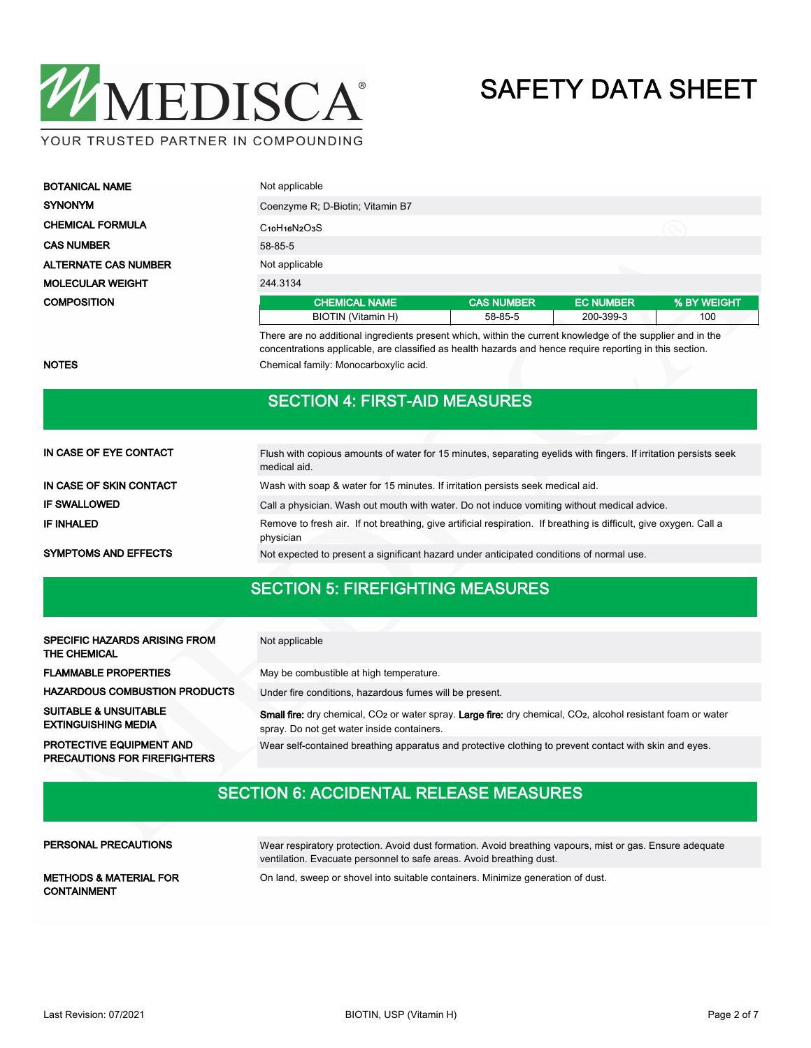

| <b>BOTANICAL NAME</b>       | Not applicable                   |                   |                  |             |  |  |
|-----------------------------|----------------------------------|-------------------|------------------|-------------|--|--|
| <b>SYNONYM</b>              | Coenzyme R; D-Biotin; Vitamin B7 |                   |                  |             |  |  |
| <b>CHEMICAL FORMULA</b>     | $C10H16N2O3S$                    |                   |                  |             |  |  |
| <b>CAS NUMBER</b>           | 58-85-5                          |                   |                  |             |  |  |
| <b>ALTERNATE CAS NUMBER</b> | Not applicable                   |                   |                  |             |  |  |
| <b>MOLECULAR WEIGHT</b>     | 244.3134                         |                   |                  |             |  |  |
| <b>COMPOSITION</b>          | <b>CHEMICAL NAME</b>             | <b>CAS NUMBER</b> | <b>EC NUMBER</b> | % BY WEIGHT |  |  |
|                             | BIOTIN (Vitamin H)               | 58-85-5           | 200-399-3        | 100         |  |  |

There are no additional ingredients present which, within the current knowledge of the supplier and in the concentrations applicable, are classified as health hazards and hence require reporting in this section. NOTES **NOTES** Chemical family: Monocarboxylic acid.

|                             | SECTION 4: FIRST-AID MEASURES                                                                                                    |
|-----------------------------|----------------------------------------------------------------------------------------------------------------------------------|
|                             |                                                                                                                                  |
| IN CASE OF EYE CONTACT      | Flush with copious amounts of water for 15 minutes, separating eyelids with fingers. If irritation persists seek<br>medical aid. |
| IN CASE OF SKIN CONTACT     | Wash with soap & water for 15 minutes. If irritation persists seek medical aid.                                                  |
| <b>IF SWALLOWED</b>         | Call a physician. Wash out mouth with water. Do not induce vomiting without medical advice.                                      |
| <b>IF INHALED</b>           | Remove to fresh air. If not breathing, give artificial respiration. If breathing is difficult, give oxygen. Call a<br>physician  |
| <b>SYMPTOMS AND EFFECTS</b> | Not expected to present a significant hazard under anticipated conditions of normal use.                                         |

#### SECTION 5: FIREFIGHTING MEASURES

| <b>SPECIFIC HAZARDS ARISING FROM</b><br><b>THE CHEMICAL</b>    | Not applicable                                                                                                                                                                      |
|----------------------------------------------------------------|-------------------------------------------------------------------------------------------------------------------------------------------------------------------------------------|
| <b>FLAMMABLE PROPERTIES</b>                                    | May be combustible at high temperature.                                                                                                                                             |
| <b>HAZARDOUS COMBUSTION PRODUCTS</b>                           | Under fire conditions, hazardous fumes will be present.                                                                                                                             |
| <b>SUITABLE &amp; UNSUITABLE</b><br><b>EXTINGUISHING MEDIA</b> | Small fire: dry chemical, CO <sub>2</sub> or water spray. Large fire: dry chemical, CO <sub>2</sub> , alcohol resistant foam or water<br>spray. Do not get water inside containers. |
| PROTECTIVE EQUIPMENT AND                                       | Wear self-contained breathing apparatus and protective clothing to prevent contact with skin and eyes.                                                                              |

SECTION 6: ACCIDENTAL RELEASE MEASURES

PERSONAL PRECAUTIONS

PRECAUTIONS FOR FIREFIGHTERS

Wear respiratory protection. Avoid dust formation. Avoid breathing vapours, mist or gas. Ensure adequate ventilation. Evacuate personnel to safe areas. Avoid breathing dust.

CONTAINMENT

METHODS & MATERIAL FOR **On land, sweep or shovel into suitable containers**. Minimize generation of dust.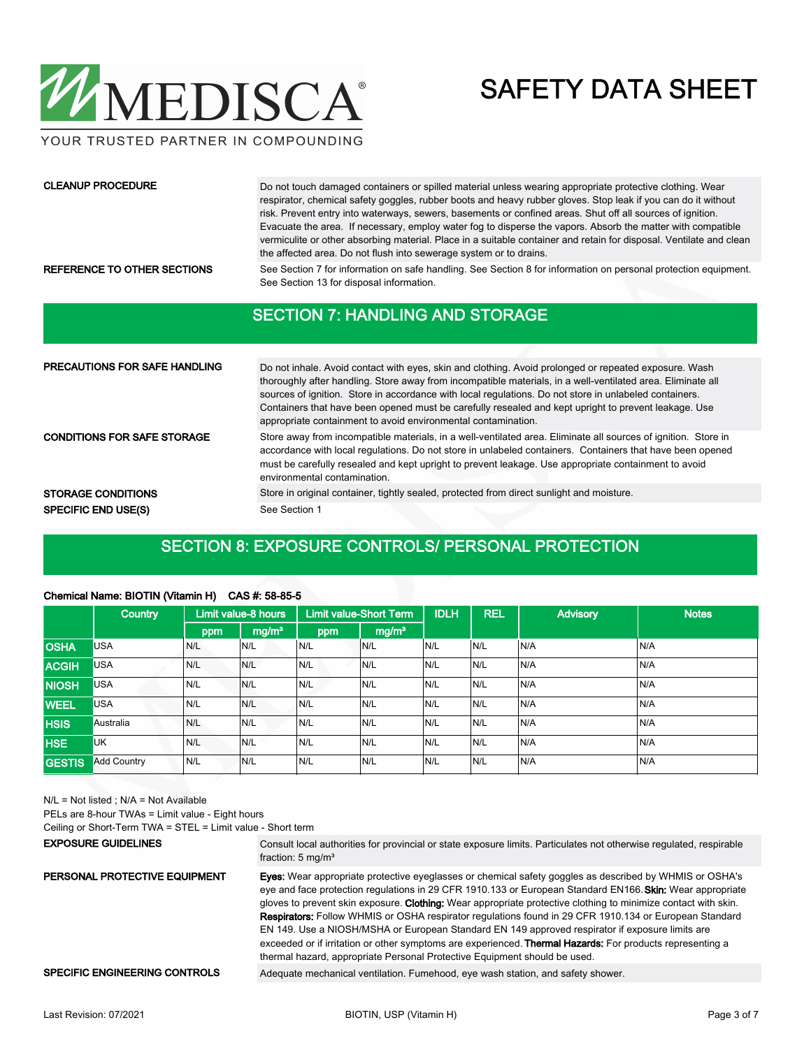

YOUR TRUSTED PARTNER IN COMPOUNDING

#### CLEANUP PROCEDURE

Do not touch damaged containers or spilled material unless wearing appropriate protective clothing. Wear respirator, chemical safety goggles, rubber boots and heavy rubber gloves. Stop leak if you can do it without risk. Prevent entry into waterways, sewers, basements or confined areas. Shut off all sources of ignition. Evacuate the area. If necessary, employ water fog to disperse the vapors. Absorb the matter with compatible vermiculite or other absorbing material. Place in a suitable container and retain for disposal. Ventilate and clean the affected area. Do not flush into sewerage system or to drains.

REFERENCE TO OTHER SECTIONS See Section 7 for information on safe handling. See Section 8 for information on personal protection equipment. See Section 13 for disposal information.

#### SECTION 7: HANDLING AND STORAGE

| <b>PRECAUTIONS FOR SAFE HANDLING</b> | Do not inhale. Avoid contact with eyes, skin and clothing. Avoid prolonged or repeated exposure. Wash<br>thoroughly after handling. Store away from incompatible materials, in a well-ventilated area. Eliminate all<br>sources of ignition. Store in accordance with local regulations. Do not store in unlabeled containers.<br>Containers that have been opened must be carefully resealed and kept upright to prevent leakage. Use<br>appropriate containment to avoid environmental contamination. |
|--------------------------------------|---------------------------------------------------------------------------------------------------------------------------------------------------------------------------------------------------------------------------------------------------------------------------------------------------------------------------------------------------------------------------------------------------------------------------------------------------------------------------------------------------------|
| <b>CONDITIONS FOR SAFE STORAGE</b>   | Store away from incompatible materials, in a well-ventilated area. Eliminate all sources of ignition. Store in<br>accordance with local regulations. Do not store in unlabeled containers. Containers that have been opened<br>must be carefully resealed and kept upright to prevent leakage. Use appropriate containment to avoid<br>environmental contamination.                                                                                                                                     |
| <b>STORAGE CONDITIONS</b>            | Store in original container, tightly sealed, protected from direct sunlight and moisture.                                                                                                                                                                                                                                                                                                                                                                                                               |
| <b>SPECIFIC END USE(S)</b>           | See Section 1                                                                                                                                                                                                                                                                                                                                                                                                                                                                                           |

#### SECTION 8: EXPOSURE CONTROLS/ PERSONAL PROTECTION

#### Chemical Name: BIOTIN (Vitamin H) CAS #: 58-85-5

|               | <b>Country</b>     |     | Limit value-8 hours |     | <b>Limit value-Short Term</b> | <b>IDLH</b> | <b>REL</b> | <b>Advisory</b> | <b>Notes</b> |
|---------------|--------------------|-----|---------------------|-----|-------------------------------|-------------|------------|-----------------|--------------|
|               |                    | ppm | mg/m <sup>3</sup>   | ppm | mg/m <sup>3</sup>             |             |            |                 |              |
| <b>OSHA</b>   | <b>USA</b>         | N/L | N/L                 | N/L | N/L                           | N/L         | N/L        | N/A             | N/A          |
| <b>ACGIH</b>  | <b>USA</b>         | N/L | N/L                 | N/L | N/L                           | N/L         | N/L        | N/A             | N/A          |
| <b>NIOSH</b>  | <b>USA</b>         | N/L | N/L                 | N/L | N/L                           | N/L         | N/L        | N/A             | N/A          |
| <b>WEEL</b>   | <b>USA</b>         | N/L | N/L                 | N/L | N/L                           | N/L         | N/L        | N/A             | N/A          |
| <b>HSIS</b>   | Australia          | N/L | N/L                 | N/L | N/L                           | N/L         | IN/L       | N/A             | N/A          |
| <b>HSE</b>    | <b>UK</b>          | N/L | N/L                 | N/L | N/L                           | N/L         | N/L        | N/A             | N/A          |
| <b>GESTIS</b> | <b>Add Country</b> | N/L | N/L                 | N/L | N/L                           | N/L         | N/L        | N/A             | N/A          |

N/L = Not listed ; N/A = Not Available

PELs are 8-hour TWAs = Limit value - Eight hours

Ceiling or Short-Term TWA = STEL = Limit value - Short term

#### EXPOSURE GUIDELINES

Consult local authorities for provincial or state exposure limits. Particulates not otherwise regulated, respirable fraction: 5 mg/m<sup>3</sup>

Eyes: Wear appropriate protective eyeglasses or chemical safety goggles as described by WHMIS or OSHA's eye and face protection regulations in 29 CFR 1910.133 or European Standard EN166. Skin: Wear appropriate gloves to prevent skin exposure. Clothing: Wear appropriate protective clothing to minimize contact with skin. Respirators: Follow WHMIS or OSHA respirator regulations found in 29 CFR 1910.134 or European Standard EN 149. Use a NIOSH/MSHA or European Standard EN 149 approved respirator if exposure limits are exceeded or if irritation or other symptoms are experienced. Thermal Hazards: For products representing a thermal hazard, appropriate Personal Protective Equipment should be used. PERSONAL PROTECTIVE EQUIPMENT

#### SPECIFIC ENGINEERING CONTROLS Adequate mechanical ventilation. Fumehood, eye wash station, and safety shower.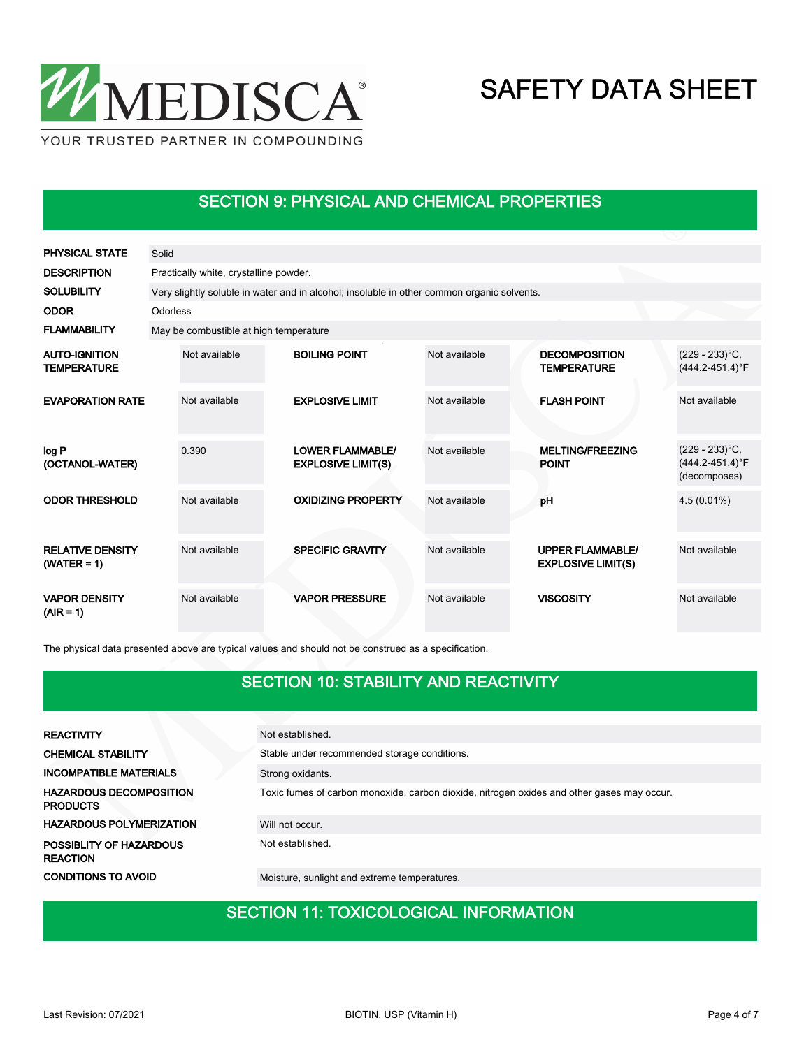

### SECTION 9: PHYSICAL AND CHEMICAL PROPERTIES

| <b>PHYSICAL STATE</b>                      | Solid    |                                                                                            |  |                                                      |               |                                                      |                                                           |  |  |  |
|--------------------------------------------|----------|--------------------------------------------------------------------------------------------|--|------------------------------------------------------|---------------|------------------------------------------------------|-----------------------------------------------------------|--|--|--|
| <b>DESCRIPTION</b>                         |          | Practically white, crystalline powder.                                                     |  |                                                      |               |                                                      |                                                           |  |  |  |
| <b>SOLUBILITY</b>                          |          | Very slightly soluble in water and in alcohol; insoluble in other common organic solvents. |  |                                                      |               |                                                      |                                                           |  |  |  |
| <b>ODOR</b>                                | Odorless |                                                                                            |  |                                                      |               |                                                      |                                                           |  |  |  |
| <b>FLAMMABILITY</b>                        |          | May be combustible at high temperature                                                     |  |                                                      |               |                                                      |                                                           |  |  |  |
| <b>AUTO-IGNITION</b><br><b>TEMPERATURE</b> |          | Not available                                                                              |  | <b>BOILING POINT</b>                                 | Not available | <b>DECOMPOSITION</b><br><b>TEMPERATURE</b>           | $(229 - 233)$ °C,<br>$(444.2 - 451.4)$ °F                 |  |  |  |
| <b>EVAPORATION RATE</b>                    |          | Not available                                                                              |  | <b>EXPLOSIVE LIMIT</b>                               | Not available | <b>FLASH POINT</b>                                   | Not available                                             |  |  |  |
| log P<br>(OCTANOL-WATER)                   |          | 0.390                                                                                      |  | <b>LOWER FLAMMABLE/</b><br><b>EXPLOSIVE LIMIT(S)</b> | Not available | <b>MELTING/FREEZING</b><br><b>POINT</b>              | $(229 - 233)$ °C,<br>$(444.2 - 451.4)$ °F<br>(decomposes) |  |  |  |
| <b>ODOR THRESHOLD</b>                      |          | Not available                                                                              |  | <b>OXIDIZING PROPERTY</b>                            | Not available | pH                                                   | $4.5(0.01\%)$                                             |  |  |  |
| <b>RELATIVE DENSITY</b><br>$(WATER = 1)$   |          | Not available                                                                              |  | <b>SPECIFIC GRAVITY</b>                              | Not available | <b>UPPER FLAMMABLE/</b><br><b>EXPLOSIVE LIMIT(S)</b> | Not available                                             |  |  |  |
| <b>VAPOR DENSITY</b><br>$(AIR = 1)$        |          | Not available                                                                              |  | <b>VAPOR PRESSURE</b>                                | Not available | <b>VISCOSITY</b>                                     | Not available                                             |  |  |  |

The physical data presented above are typical values and should not be construed as a specification.

### SECTION 10: STABILITY AND REACTIVITY

| <b>REACTIVITY</b>                                 | Not established.                                                                           |
|---------------------------------------------------|--------------------------------------------------------------------------------------------|
| <b>CHEMICAL STABILITY</b>                         | Stable under recommended storage conditions.                                               |
| <b>INCOMPATIBLE MATERIALS</b>                     | Strong oxidants.                                                                           |
| <b>HAZARDOUS DECOMPOSITION</b><br><b>PRODUCTS</b> | Toxic fumes of carbon monoxide, carbon dioxide, nitrogen oxides and other gases may occur. |
| <b>HAZARDOUS POLYMERIZATION</b>                   | Will not occur.                                                                            |
| POSSIBLITY OF HAZARDOUS<br><b>REACTION</b>        | Not established.                                                                           |
| <b>CONDITIONS TO AVOID</b>                        | Moisture, sunlight and extreme temperatures.                                               |

## SECTION 11: TOXICOLOGICAL INFORMATION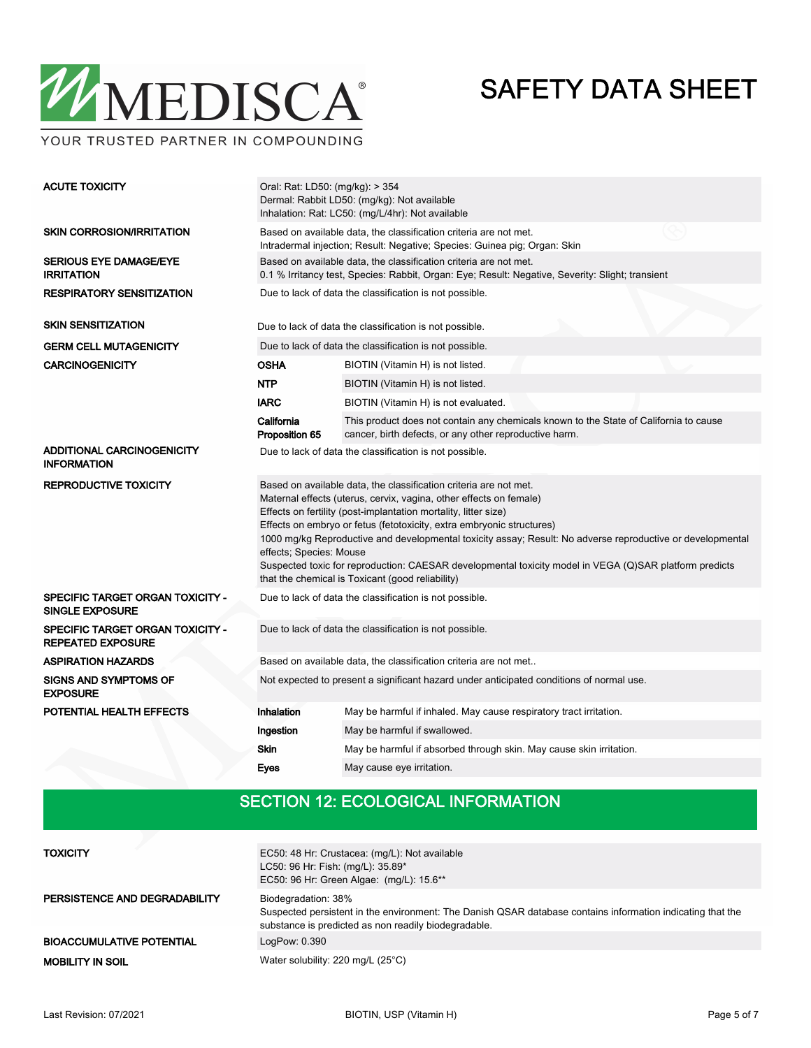

| <b>ACUTE TOXICITY</b>                                               | Oral: Rat: LD50: (mg/kg): > 354<br>Dermal: Rabbit LD50: (mg/kg): Not available<br>Inhalation: Rat: LC50: (mg/L/4hr): Not available                                                                                                                                                                                                                                                                                                                                                                                                                                                         |                                                                                                                                                                       |  |  |  |  |
|---------------------------------------------------------------------|--------------------------------------------------------------------------------------------------------------------------------------------------------------------------------------------------------------------------------------------------------------------------------------------------------------------------------------------------------------------------------------------------------------------------------------------------------------------------------------------------------------------------------------------------------------------------------------------|-----------------------------------------------------------------------------------------------------------------------------------------------------------------------|--|--|--|--|
| <b>SKIN CORROSION/IRRITATION</b>                                    | Based on available data, the classification criteria are not met.<br>Intradermal injection; Result: Negative; Species: Guinea pig; Organ: Skin                                                                                                                                                                                                                                                                                                                                                                                                                                             |                                                                                                                                                                       |  |  |  |  |
| <b>SERIOUS EYE DAMAGE/EYE</b><br><b>IRRITATION</b>                  |                                                                                                                                                                                                                                                                                                                                                                                                                                                                                                                                                                                            | Based on available data, the classification criteria are not met.<br>0.1 % Irritancy test, Species: Rabbit, Organ: Eye; Result: Negative, Severity: Slight; transient |  |  |  |  |
| <b>RESPIRATORY SENSITIZATION</b>                                    | Due to lack of data the classification is not possible.                                                                                                                                                                                                                                                                                                                                                                                                                                                                                                                                    |                                                                                                                                                                       |  |  |  |  |
| <b>SKIN SENSITIZATION</b>                                           |                                                                                                                                                                                                                                                                                                                                                                                                                                                                                                                                                                                            | Due to lack of data the classification is not possible.                                                                                                               |  |  |  |  |
| <b>GERM CELL MUTAGENICITY</b>                                       |                                                                                                                                                                                                                                                                                                                                                                                                                                                                                                                                                                                            | Due to lack of data the classification is not possible.                                                                                                               |  |  |  |  |
| <b>CARCINOGENICITY</b>                                              | OSHA                                                                                                                                                                                                                                                                                                                                                                                                                                                                                                                                                                                       | BIOTIN (Vitamin H) is not listed.                                                                                                                                     |  |  |  |  |
|                                                                     | <b>NTP</b>                                                                                                                                                                                                                                                                                                                                                                                                                                                                                                                                                                                 | BIOTIN (Vitamin H) is not listed.                                                                                                                                     |  |  |  |  |
|                                                                     | <b>IARC</b>                                                                                                                                                                                                                                                                                                                                                                                                                                                                                                                                                                                | BIOTIN (Vitamin H) is not evaluated.                                                                                                                                  |  |  |  |  |
|                                                                     | California<br>Proposition 65                                                                                                                                                                                                                                                                                                                                                                                                                                                                                                                                                               | This product does not contain any chemicals known to the State of California to cause<br>cancer, birth defects, or any other reproductive harm.                       |  |  |  |  |
| <b>ADDITIONAL CARCINOGENICITY</b><br><b>INFORMATION</b>             |                                                                                                                                                                                                                                                                                                                                                                                                                                                                                                                                                                                            | Due to lack of data the classification is not possible.                                                                                                               |  |  |  |  |
| <b>REPRODUCTIVE TOXICITY</b>                                        | Based on available data, the classification criteria are not met.<br>Maternal effects (uterus, cervix, vagina, other effects on female)<br>Effects on fertility (post-implantation mortality, litter size)<br>Effects on embryo or fetus (fetotoxicity, extra embryonic structures)<br>1000 mg/kg Reproductive and developmental toxicity assay; Result: No adverse reproductive or developmental<br>effects; Species: Mouse<br>Suspected toxic for reproduction: CAESAR developmental toxicity model in VEGA (Q)SAR platform predicts<br>that the chemical is Toxicant (good reliability) |                                                                                                                                                                       |  |  |  |  |
| SPECIFIC TARGET ORGAN TOXICITY -<br><b>SINGLE EXPOSURE</b>          | Due to lack of data the classification is not possible.                                                                                                                                                                                                                                                                                                                                                                                                                                                                                                                                    |                                                                                                                                                                       |  |  |  |  |
| <b>SPECIFIC TARGET ORGAN TOXICITY -</b><br><b>REPEATED EXPOSURE</b> | Due to lack of data the classification is not possible.                                                                                                                                                                                                                                                                                                                                                                                                                                                                                                                                    |                                                                                                                                                                       |  |  |  |  |
| <b>ASPIRATION HAZARDS</b>                                           | Based on available data, the classification criteria are not met                                                                                                                                                                                                                                                                                                                                                                                                                                                                                                                           |                                                                                                                                                                       |  |  |  |  |
| <b>SIGNS AND SYMPTOMS OF</b><br><b>EXPOSURE</b>                     | Not expected to present a significant hazard under anticipated conditions of normal use.                                                                                                                                                                                                                                                                                                                                                                                                                                                                                                   |                                                                                                                                                                       |  |  |  |  |
| POTENTIAL HEALTH EFFECTS                                            | Inhalation                                                                                                                                                                                                                                                                                                                                                                                                                                                                                                                                                                                 | May be harmful if inhaled. May cause respiratory tract irritation.                                                                                                    |  |  |  |  |
|                                                                     | Ingestion                                                                                                                                                                                                                                                                                                                                                                                                                                                                                                                                                                                  | May be harmful if swallowed.                                                                                                                                          |  |  |  |  |
|                                                                     | <b>Skin</b>                                                                                                                                                                                                                                                                                                                                                                                                                                                                                                                                                                                | May be harmful if absorbed through skin. May cause skin irritation.                                                                                                   |  |  |  |  |
|                                                                     | Eyes                                                                                                                                                                                                                                                                                                                                                                                                                                                                                                                                                                                       | May cause eve irritation.                                                                                                                                             |  |  |  |  |

## SECTION 12: ECOLOGICAL INFORMATION

| <b>TOXICITY</b>                  | EC50: 48 Hr: Crustacea: (mg/L): Not available<br>LC50: 96 Hr: Fish: (mg/L): 35.89*<br>EC50: 96 Hr: Green Algae: (mg/L): 15.6**                                                            |
|----------------------------------|-------------------------------------------------------------------------------------------------------------------------------------------------------------------------------------------|
| PERSISTENCE AND DEGRADABILITY    | Biodegradation: 38%<br>Suspected persistent in the environment: The Danish QSAR database contains information indicating that the<br>substance is predicted as non readily biodegradable. |
| <b>BIOACCUMULATIVE POTENTIAL</b> | LogPow: 0.390                                                                                                                                                                             |
| <b>MOBILITY IN SOIL</b>          | Water solubility: 220 mg/L (25°C)                                                                                                                                                         |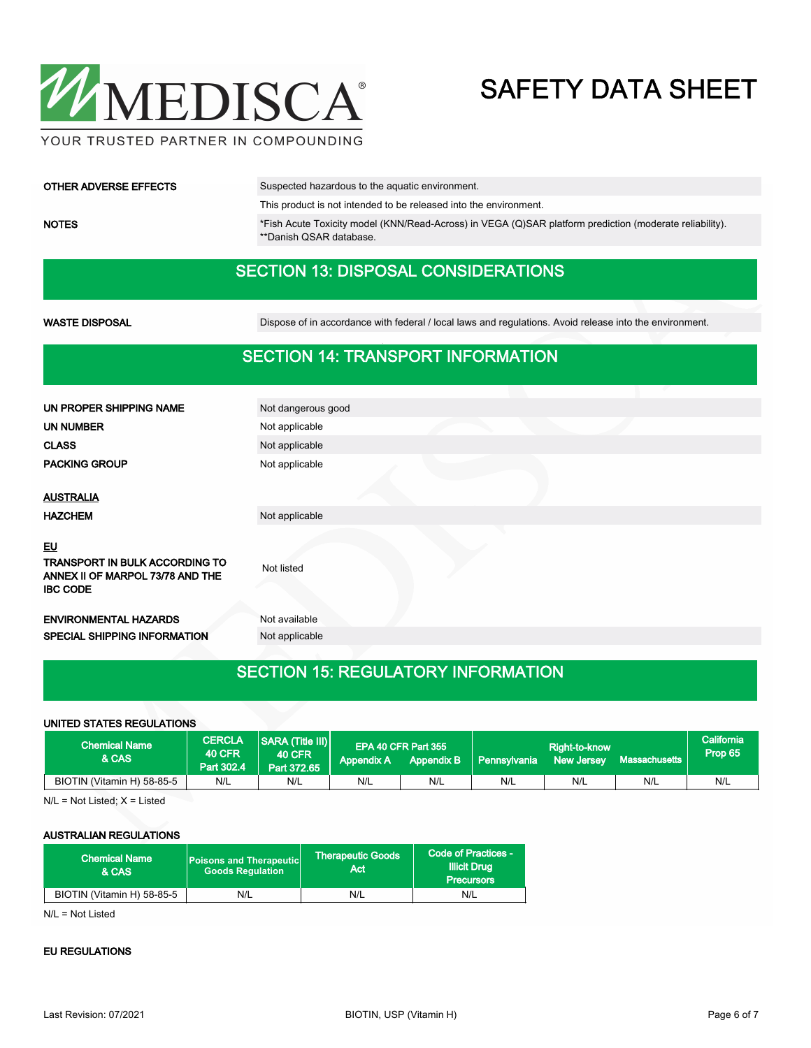

| <b>OTHER ADVERSE EFFECTS</b> | Suspected hazardous to the aquatic environment.                                                                                    |
|------------------------------|------------------------------------------------------------------------------------------------------------------------------------|
|                              | This product is not intended to be released into the environment.                                                                  |
| <b>NOTES</b>                 | *Fish Acute Toxicity model (KNN/Read-Across) in VEGA (Q)SAR platform prediction (moderate reliability).<br>**Danish QSAR database. |

### SECTION 13: DISPOSAL CONSIDERATIONS

WASTE DISPOSAL **Dispose of in accordance with federal / local laws and regulations**. Avoid release into the environment.

### SECTION 14: TRANSPORT INFORMATION

| UN PROPER SHIPPING NAME                                                                            | Not dangerous good |
|----------------------------------------------------------------------------------------------------|--------------------|
| <b>UN NUMBER</b>                                                                                   | Not applicable     |
| <b>CLASS</b>                                                                                       | Not applicable     |
| <b>PACKING GROUP</b>                                                                               | Not applicable     |
|                                                                                                    |                    |
| <b>AUSTRALIA</b>                                                                                   |                    |
| <b>HAZCHEM</b>                                                                                     | Not applicable     |
| EU<br><b>TRANSPORT IN BULK ACCORDING TO</b><br>ANNEX II OF MARPOL 73/78 AND THE<br><b>IBC CODE</b> | Not listed         |
| <b>ENVIRONMENTAL HAZARDS</b>                                                                       | Not available      |
| <b>SPECIAL SHIPPING INFORMATION</b>                                                                | Not applicable     |
|                                                                                                    |                    |

### SECTION 15: REGULATORY INFORMATION

#### UNITED STATES REGULATIONS

| <b>Chemical Name</b><br>& CAS | <b>CERCLA</b><br><b>40 CFR</b><br>Part 302.4 | <b>SARA (Title III)</b><br><b>40 CFR</b><br>Part 372.65 | Appendix A | EPA 40 CFR Part 355<br>Appendix B | l Pennsvivania | Right-to-know<br><b>New Jersey</b> | Massachusetts | California<br>Prop 65 |
|-------------------------------|----------------------------------------------|---------------------------------------------------------|------------|-----------------------------------|----------------|------------------------------------|---------------|-----------------------|
| BIOTIN (Vitamin H) 58-85-5    | N/L                                          | N/L                                                     | N/L        | N/L                               | N/L            | N/L                                | N/L           | N/L                   |

N/L = Not Listed; X = Listed

#### AUSTRALIAN REGULATIONS

| <b>Chemical Name</b><br>& CAS | <b>Poisons and Therapeutic</b><br><b>Goods Requlation</b> | Therapeutic Goods '<br>Act | Code of Practices -<br><b>Illicit Drug</b><br><b>Precursors</b> |  |
|-------------------------------|-----------------------------------------------------------|----------------------------|-----------------------------------------------------------------|--|
| BIOTIN (Vitamin H) 58-85-5    | N/L                                                       | N/L                        | N/L                                                             |  |

N/L = Not Listed

#### EU REGULATIONS